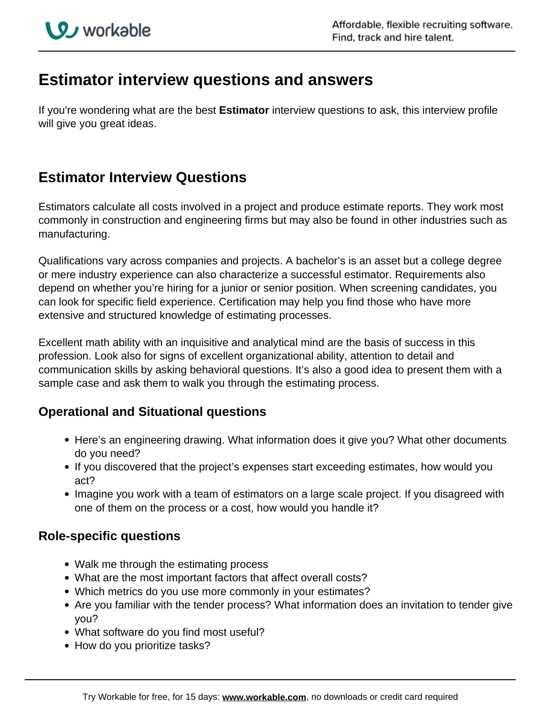# **Estimator interview questions and answers**

If you're wondering what are the best **Estimator** interview questions to ask, this interview profile will give you great ideas.

## **Estimator Interview Questions**

Estimators calculate all costs involved in a project and produce estimate reports. They work most commonly in construction and engineering firms but may also be found in other industries such as manufacturing.

Qualifications vary across companies and projects. A bachelor's is an asset but a college degree or mere industry experience can also characterize a successful estimator. Requirements also depend on whether you're hiring for a junior or senior position. When screening candidates, you can look for specific field experience. Certification may help you find those who have more extensive and structured knowledge of estimating processes.

Excellent math ability with an inquisitive and analytical mind are the basis of success in this profession. Look also for signs of excellent organizational ability, attention to detail and communication skills by asking behavioral questions. It's also a good idea to present them with a sample case and ask them to walk you through the estimating process.

### **Operational and Situational questions**

- Here's an engineering drawing. What information does it give you? What other documents do you need?
- If you discovered that the project's expenses start exceeding estimates, how would you act?
- Imagine you work with a team of estimators on a large scale project. If you disagreed with one of them on the process or a cost, how would you handle it?

### **Role-specific questions**

- Walk me through the estimating process
- What are the most important factors that affect overall costs?
- Which metrics do you use more commonly in your estimates?
- Are you familiar with the tender process? What information does an invitation to tender give you?
- What software do you find most useful?
- How do you prioritize tasks?